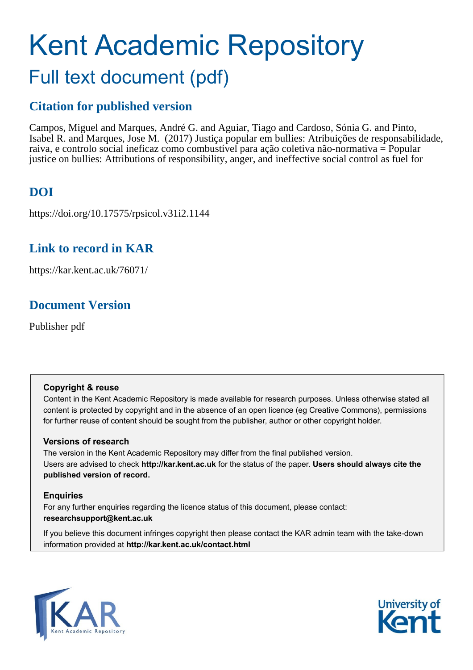## Kent Academic Repository Full text document (pdf)

## **Citation for published version**

Campos, Miguel and Marques, André G. and Aguiar, Tiago and Cardoso, Sónia G. and Pinto, Isabel R. and Marques, Jose M. (2017) Justiça popular em bullies: Atribuições de responsabilidade, raiva, e controlo social ineficaz como combustível para ação coletiva não-normativa = Popular justice on bullies: Attributions of responsibility, anger, and ineffective social control as fuel for

## **DOI**

https://doi.org/10.17575/rpsicol.v31i2.1144

## **Link to record in KAR**

https://kar.kent.ac.uk/76071/

## **Document Version**

Publisher pdf

#### **Copyright & reuse**

Content in the Kent Academic Repository is made available for research purposes. Unless otherwise stated all content is protected by copyright and in the absence of an open licence (eg Creative Commons), permissions for further reuse of content should be sought from the publisher, author or other copyright holder.

#### **Versions of research**

The version in the Kent Academic Repository may differ from the final published version. Users are advised to check **http://kar.kent.ac.uk** for the status of the paper. **Users should always cite the published version of record.**

#### **Enquiries**

For any further enquiries regarding the licence status of this document, please contact: **researchsupport@kent.ac.uk**

If you believe this document infringes copyright then please contact the KAR admin team with the take-down information provided at **http://kar.kent.ac.uk/contact.html**



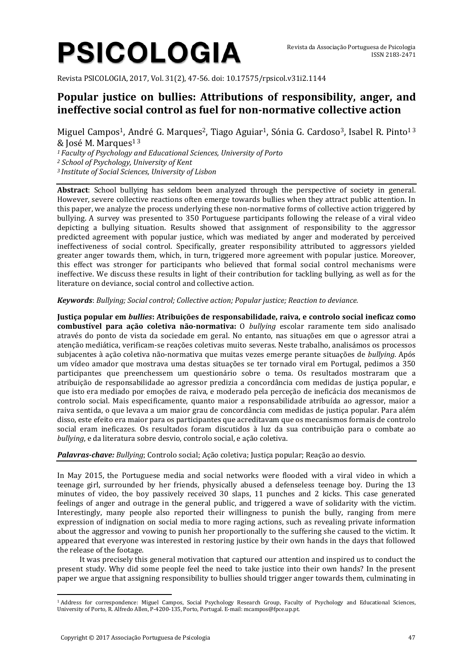# **PSICOLOGIA**

Revista PSICOLOGIA, 2017, Vol. 31(2), 47-56. doi: 10.17575/rpsicol.v31i2.1144

### **Popular justice on bullies: Attributions of responsibility, anger, and ineffective social control as fuel for non-normative collective action**

Miguel Campos<sup>1</sup>, André G. Marques<sup>2</sup>, Tiago Aguiar<sup>1</sup>, Sónia G. Cardoso<sup>3</sup>, Isabel R. Pinto<sup>13</sup>  $&$  Iosé M. Marques<sup>13</sup>

*<sup>1</sup> Faculty of Psychology and Educational Sciences, University of Porto*

*<sup>2</sup> School of Psychology, University of Kent*

*<sup>3</sup> Institute of Social Sciences, University of Lisbon*

**Abstract**: School bullying has seldom been analyzed through the perspective of society in general. However, severe collective reactions often emerge towards bullies when they attract public attention. In this paper, we analyze the process underlying these non-normative forms of collective action triggered by bullying. A survey was presented to 350 Portuguese participants following the release of a viral video depicting a bullying situation. Results showed that assignment of responsibility to the aggressor predicted agreement with popular justice, which was mediated by anger and moderated by perceived ineffectiveness of social control. Specifically, greater responsibility attributed to aggressors yielded greater anger towards them, which, in turn, triggered more agreement with popular justice. Moreover, this effect was stronger for participants who believed that formal social control mechanisms were ineffective. We discuss these results in light of their contribution for tackling bullying, as well as for the literature on deviance, social control and collective action.

#### *Keywords*: *Bullying; Social control; Collective action; Popular justice; Reaction to deviance.*

**Justiça popular em** *bullies***: Atribuições de responsabilidade, raiva, e controlo social ineficaz como combustível para ação coletiva não-normativa:** O *bullying* escolar raramente tem sido analisado através do ponto de vista da sociedade em geral. No entanto, nas situações em que o agressor atrai a atenção mediática, verificam-se reações coletivas muito severas. Neste trabalho, analisámos os processos subjacentes à ação coletiva não-normativa que muitas vezes emerge perante situações de *bullying*. Após um vídeo amador que mostrava uma destas situações se ter tornado viral em Portugal, pedimos a 350 participantes que preenchessem um questionário sobre o tema. Os resultados mostraram que a atribuição de responsabilidade ao agressor predizia a concordância com medidas de justiça popular, e que isto era mediado por emoções de raiva, e moderado pela perceção de ineficácia dos mecanismos de controlo social. Mais especificamente, quanto maior a responsabilidade atribuída ao agressor, maior a raiva sentida, o que levava a um maior grau de concordância com medidas de justiça popular. Para além disso, este efeito era maior para os participantes que acreditavam que os mecanismos formais de controlo social eram ineficazes. Os resultados foram discutidos à luz da sua contribuição para o combate ao *bullying*, e da literatura sobre desvio, controlo social, e ação coletiva.

#### *Palavras-chave: Bullying*; Controlo social; Ação coletiva; Justiça popular; Reação ao desvio.

In May 2015, the Portuguese media and social networks were flooded with a viral video in which a teenage girl, surrounded by her friends, physically abused a defenseless teenage boy. During the 13 minutes of video, the boy passively received 30 slaps, 11 punches and 2 kicks. This case generated feelings of anger and outrage in the general public, and triggered a wave of solidarity with the victim. Interestingly, many people also reported their willingness to punish the bully, ranging from mere expression of indignation on social media to more raging actions, such as revealing private information about the aggressor and vowing to punish her proportionally to the suffering she caused to the victim. It appeared that everyone was interested in restoring justice by their own hands in the days that followed the release of the footage.

It was precisely this general motivation that captured our attention and inspired us to conduct the present study. Why did some people feel the need to take justice into their own hands? In the present paper we argue that assigning responsibility to bullies should trigger anger towards them, culminating in

 $\overline{a}$ 

<sup>1</sup> Address for correspondence: Miguel Campos, Social Psychology Research Group, Faculty of Psychology and Educational Sciences, University of Porto, R. Alfredo Allen, P-4200-135, Porto, Portugal. E-mail: mcampos@fpce.up.pt.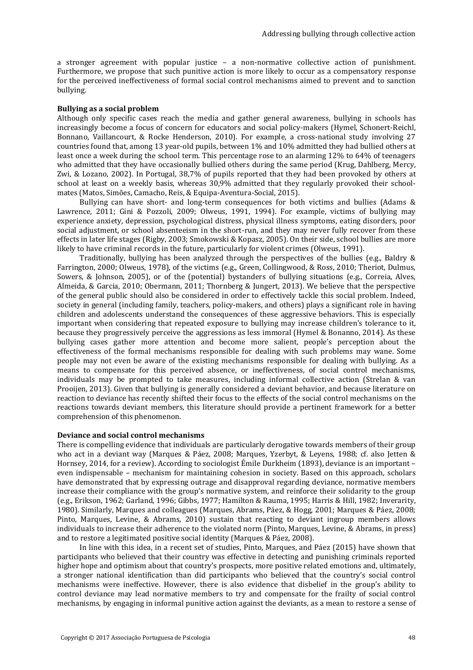a stronger agreement with popular justice – a non-normative collective action of punishment. Furthermore, we propose that such punitive action is more likely to occur as a compensatory response for the perceived ineffectiveness of formal social control mechanisms aimed to prevent and to sanction bullying.

#### **Bullying as a social problem**

Although only specific cases reach the media and gather general awareness, bullying in schools has increasingly become a focus of concern for educators and social policy-makers (Hymel, Schonert-Reichl, Bonnano, Vaillancourt, & Rocke Henderson, 2010). For example, a cross-national study involving 27 countries found that, among 13 year-old pupils, between 1% and 10% admitted they had bullied others at least once a week during the school term. This percentage rose to an alarming 12% to 64% of teenagers who admitted that they have occasionally bullied others during the same period (Krug, Dahlberg, Mercy, Zwi, & Lozano, 2002). In Portugal, 38,7% of pupils reported that they had been provoked by others at school at least on a weekly basis, whereas 30,9% admitted that they regularly provoked their schoolmates (Matos, Simões, Camacho, Reis, & Equipa-Aventura-Social, 2015).

Bullying can have short- and long-term consequences for both victims and bullies (Adams & Lawrence, 2011; Gini & Pozzoli, 2009; Olweus, 1991, 1994). For example, victims of bullying may experience anxiety, depression, psychological distress, physical illness symptoms, eating disorders, poor social adjustment, or school absenteeism in the short-run, and they may never fully recover from these effects in later life stages (Rigby, 2003; Smokowski & Kopasz, 2005). On their side, school bullies are more likely to have criminal records in the future, particularly for violent crimes (Olweus, 1991).

Traditionally, bullying has been analyzed through the perspectives of the bullies (e.g., Baldry & Farrington, 2000; Olweus, 1978), of the victims (e.g., Green, Collingwood, & Ross, 2010; Theriot, Dulmus, Sowers, & Johnson, 2005), or of the (potential) bystanders of bullying situations (e.g., Correia, Alves, Almeida, & Garcia, 2010; Obermann, 2011; Thornberg & Jungert, 2013). We believe that the perspective of the general public should also be considered in order to effectively tackle this social problem. Indeed, society in general (including family, teachers, policy-makers, and others) plays a significant role in having children and adolescents understand the consequences of these aggressive behaviors. This is especially important when considering that repeated exposure to bullying may increase children's tolerance to it, because they progressively perceive the aggressions as less immoral (Hymel & Bonanno, 2014). As these bullying cases gather more attention and become more salient, people's perception about the effectiveness of the formal mechanisms responsible for dealing with such problems may wane. Some people may not even be aware of the existing mechanisms responsible for dealing with bullying. As a means to compensate for this perceived absence, or ineffectiveness, of social control mechanisms, individuals may be prompted to take measures, including informal collective action (Strelan & van Prooijen, 2013). Given that bullying is generally considered a deviant behavior, and because literature on reaction to deviance has recently shifted their focus to the effects of the social control mechanisms on the reactions towards deviant members, this literature should provide a pertinent framework for a better comprehension of this phenomenon.

#### **Deviance and social control mechanisms**

There is compelling evidence that individuals are particularly derogative towards members of their group who act in a deviant way (Marques & Páez, 2008; Marques, Yzerbyt, & Leyens, 1988; cf. also Jetten & Hornsey, 2014, for a review). According to sociologist Émile Durkheim (1893), deviance is an important – even indispensable – mechanism for maintaining cohesion in society. Based on this approach, scholars have demonstrated that by expressing outrage and disapproval regarding deviance, normative members increase their compliance with the group's normative system, and reinforce their solidarity to the group (e.g., Erikson, 1962; Garland, 1996; Gibbs, 1977; Hamilton & Rauma, 1995; Harris & Hill, 1982; Inverarity, 1980). Similarly, Marques and colleagues (Marques, Abrams, Páez, & Hogg, 2001; Marques & Páez, 2008; Pinto, Marques, Levine, & Abrams, 2010) sustain that reacting to deviant ingroup members allows individuals to increase their adherence to the violated norm (Pinto, Marques, Levine, & Abrams, in press) and to restore a legitimated positive social identity (Marques & Páez, 2008).

In line with this idea, in a recent set of studies, Pinto, Marques, and Páez (2015) have shown that participants who believed that their country was effective in detecting and punishing criminals reported higher hope and optimism about that country's prospects, more positive related emotions and, ultimately, a stronger national identification than did participants who believed that the country's social control mechanisms were ineffective. However, there is also evidence that disbelief in the group's ability to control deviance may lead normative members to try and compensate for the frailty of social control mechanisms, by engaging in informal punitive action against the deviants, as a mean to restore a sense of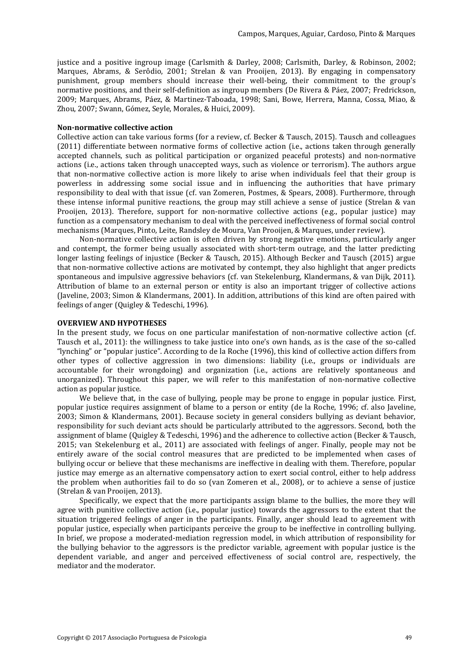justice and a positive ingroup image (Carlsmith & Darley, 2008; Carlsmith, Darley, & Robinson, 2002; Marques, Abrams, & Serôdio, 2001; Strelan & van Prooijen, 2013). By engaging in compensatory punishment, group members should increase their well-being, their commitment to the group's normative positions, and their self-definition as ingroup members (De Rivera & Páez, 2007; Fredrickson, 2009; Marques, Abrams, Páez, & Martinez-Taboada, 1998; Sani, Bowe, Herrera, Manna, Cossa, Miao, & Zhou, 2007; Swann, Gómez, Seyle, Morales, & Huici, 2009).

#### **Non-normative collective action**

Collective action can take various forms (for a review, cf. Becker & Tausch, 2015). Tausch and colleagues (2011) differentiate between normative forms of collective action (i.e., actions taken through generally accepted channels, such as political participation or organized peaceful protests) and non-normative actions (i.e., actions taken through unaccepted ways, such as violence or terrorism). The authors argue that non-normative collective action is more likely to arise when individuals feel that their group is powerless in addressing some social issue and in influencing the authorities that have primary responsibility to deal with that issue (cf. van Zomeren, Postmes, & Spears, 2008). Furthermore, through these intense informal punitive reactions, the group may still achieve a sense of justice (Strelan & van Prooijen, 2013). Therefore, support for non-normative collective actions (e.g., popular justice) may function as a compensatory mechanism to deal with the perceived ineffectiveness of formal social control mechanisms (Marques, Pinto, Leite, Randsley de Moura, Van Prooijen, & Marques, under review).

Non-normative collective action is often driven by strong negative emotions, particularly anger and contempt, the former being usually associated with short-term outrage, and the latter predicting longer lasting feelings of injustice (Becker & Tausch, 2015). Although Becker and Tausch (2015) argue that non-normative collective actions are motivated by contempt, they also highlight that anger predicts spontaneous and impulsive aggressive behaviors (cf. van Stekelenburg, Klandermans, & van Dijk, 2011). Attribution of blame to an external person or entity is also an important trigger of collective actions (Javeline, 2003; Simon & Klandermans, 2001). In addition, attributions of this kind are often paired with feelings of anger (Quigley & Tedeschi, 1996).

#### **OVERVIEW AND HYPOTHESES**

In the present study, we focus on one particular manifestation of non-normative collective action (cf. Tausch et al., 2011): the willingness to take justice into one's own hands, as is the case of the so-called "lynching" or "popular justice". According to de la Roche (1996), this kind of collective action differs from other types of collective aggression in two dimensions: liability (i.e., groups or individuals are accountable for their wrongdoing) and organization (i.e., actions are relatively spontaneous and unorganized). Throughout this paper, we will refer to this manifestation of non-normative collective action as popular justice.

We believe that, in the case of bullying, people may be prone to engage in popular justice. First, popular justice requires assignment of blame to a person or entity (de la Roche, 1996; cf. also Javeline, 2003; Simon & Klandermans, 2001). Because society in general considers bullying as deviant behavior, responsibility for such deviant acts should be particularly attributed to the aggressors. Second, both the assignment of blame (Quigley & Tedeschi, 1996) and the adherence to collective action (Becker & Tausch, 2015; van Stekelenburg et al., 2011) are associated with feelings of anger. Finally, people may not be entirely aware of the social control measures that are predicted to be implemented when cases of bullying occur or believe that these mechanisms are ineffective in dealing with them. Therefore, popular justice may emerge as an alternative compensatory action to exert social control, either to help address the problem when authorities fail to do so (van Zomeren et al., 2008), or to achieve a sense of justice (Strelan & van Prooijen, 2013).

Specifically, we expect that the more participants assign blame to the bullies, the more they will agree with punitive collective action (i.e., popular justice) towards the aggressors to the extent that the situation triggered feelings of anger in the participants. Finally, anger should lead to agreement with popular justice, especially when participants perceive the group to be ineffective in controlling bullying. In brief, we propose a moderated-mediation regression model, in which attribution of responsibility for the bullying behavior to the aggressors is the predictor variable, agreement with popular justice is the dependent variable, and anger and perceived effectiveness of social control are, respectively, the mediator and the moderator.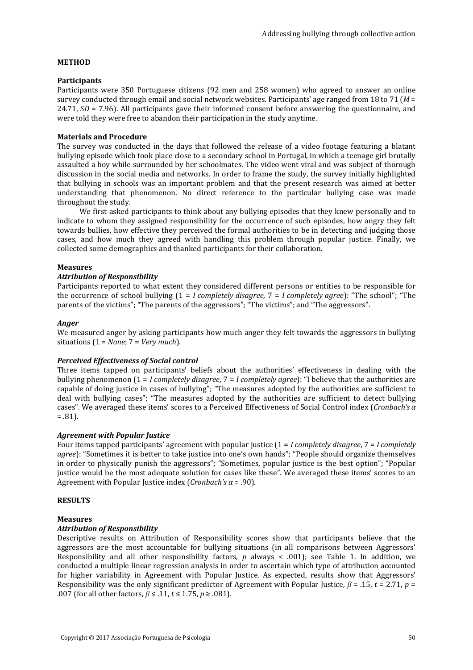#### **METHOD**

#### **Participants**

Participants were 350 Portuguese citizens (92 men and 258 women) who agreed to answer an online survey conducted through email and social network websites. Participants' age ranged from 18 to 71 (*M* = 24.71, *SD* = 7.96). All participants gave their informed consent before answering the questionnaire, and were told they were free to abandon their participation in the study anytime.

#### **Materials and Procedure**

The survey was conducted in the days that followed the release of a video footage featuring a blatant bullying episode which took place close to a secondary school in Portugal, in which a teenage girl brutally assaulted a boy while surrounded by her schoolmates. The video went viral and was subject of thorough discussion in the social media and networks. In order to frame the study, the survey initially highlighted that bullying in schools was an important problem and that the present research was aimed at better understanding that phenomenon. No direct reference to the particular bullying case was made throughout the study.

We first asked participants to think about any bullying episodes that they knew personally and to indicate to whom they assigned responsibility for the occurrence of such episodes, how angry they felt towards bullies, how effective they perceived the formal authorities to be in detecting and judging those cases, and how much they agreed with handling this problem through popular justice. Finally, we collected some demographics and thanked participants for their collaboration.

#### **Measures**

#### *Attribution of Responsibility*

Participants reported to what extent they considered different persons or entities to be responsible for the occurrence of school bullying (1 = *I completely disagree*, 7 = *I completely agree*): "The school"; "The parents of the victims"; "The parents of the aggressors"; "The victims"; and "The aggressors".

#### *Anger*

We measured anger by asking participants how much anger they felt towards the aggressors in bullying situations (1 = *None*; 7 = *Very much*).

#### *Perceived Effectiveness of Social control*

Three items tapped on participants' beliefs about the authorities' effectiveness in dealing with the bullying phenomenon (1 = *I completely disagree*, 7 = *I completely agree*): "I believe that the authorities are capable of doing justice in cases of bullying"; "The measures adopted by the authorities are sufficient to deal with bullying cases"; "The measures adopted by the authorities are sufficient to detect bullying cases". We averaged these items' scores to a Perceived Effectiveness of Social Control index (*Cronbach's α*  $= .81$ ).

#### *Agreement with Popular Justice*

Four items tapped participants' agreement with popular justice (1 = *I completely disagree*, 7 = *I completely agree*): "Sometimes it is better to take justice into one's own hands"; "People should organize themselves in order to physically punish the aggressors"; "Sometimes, popular justice is the best option"; "Popular justice would be the most adequate solution for cases like these". We averaged these items' scores to an Agreement with Popular Justice index (*Cronbach's α* = .90).

#### **RESULTS**

#### **Measures**

#### *Attribution of Responsibility*

Descriptive results on Attribution of Responsibility scores show that participants believe that the aggressors are the most accountable for bullying situations (in all comparisons between Aggressors' Responsibility and all other responsibility factors, *p* always < .001); see Table 1. In addition, we conducted a multiple linear regression analysis in order to ascertain which type of attribution accounted for higher variability in Agreement with Popular Justice. As expected, results show that Aggressors' Responsibility was the only significant predictor of Agreement with Popular Justice, *β* = .15, *t* = 2.71, *p* = .007 (for all other factors, *β* ≤ .11, *t* ≤ 1.75, *p* ≥ .081).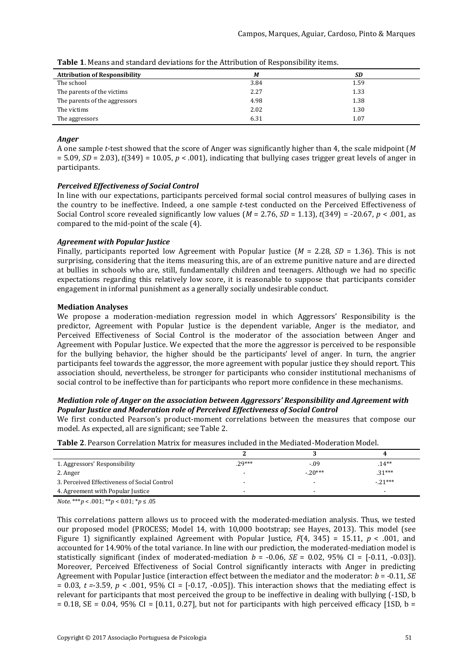| <b>Attribution of Responsibility</b> | M    | SD   |
|--------------------------------------|------|------|
| The school                           | 3.84 | 1.59 |
| The parents of the victims           | 2.27 | 1.33 |
| The parents of the aggressors        | 4.98 | 1.38 |
| The victims                          | 2.02 | 1.30 |
| The aggressors                       | 6.31 | 1.07 |

**Table 1**. Means and standard deviations for the Attribution of Responsibility items.

#### *Anger*

A one sample *t*-test showed that the score of Anger was significantly higher than 4, the scale midpoint (*M*  $= 5.09$ , *SD* = 2.03),  $t(349) = 10.05$ ,  $p < .001$ ), indicating that bullying cases trigger great levels of anger in participants.

#### *Perceived Effectiveness of Social Control*

In line with our expectations, participants perceived formal social control measures of bullying cases in the country to be ineffective. Indeed, a one sample *t*-test conducted on the Perceived Effectiveness of Social Control score revealed significantly low values ( $M = 2.76$ ,  $SD = 1.13$ ),  $t(349) = -20.67$ ,  $p < .001$ , as compared to the mid-point of the scale (4).

#### *Agreement with Popular Justice*

Finally, participants reported low Agreement with Popular Justice  $(M = 2.28, SD = 1.36)$ . This is not surprising, considering that the items measuring this, are of an extreme punitive nature and are directed at bullies in schools who are, still, fundamentally children and teenagers. Although we had no specific expectations regarding this relatively low score, it is reasonable to suppose that participants consider engagement in informal punishment as a generally socially undesirable conduct.

#### **Mediation Analyses**

We propose a moderation-mediation regression model in which Aggressors' Responsibility is the predictor, Agreement with Popular Justice is the dependent variable, Anger is the mediator, and Perceived Effectiveness of Social Control is the moderator of the association between Anger and Agreement with Popular Justice. We expected that the more the aggressor is perceived to be responsible for the bullying behavior, the higher should be the participants' level of anger. In turn, the angrier participants feel towards the aggressor, the more agreement with popular justice they should report. This association should, nevertheless, be stronger for participants who consider institutional mechanisms of social control to be ineffective than for participants who report more confidence in these mechanisms.

#### *Mediation role of Anger on the association between Aggressors' Responsibility and Agreement with Popular Justice and Moderation role of Perceived Effectiveness of Social Control*

We first conducted Pearson's product-moment correlations between the measures that compose our model. As expected, all are significant; see Table 2.

| 1. Aggressors' Responsibility                | $.29***$                 | $-.09$    | $14**$                   |
|----------------------------------------------|--------------------------|-----------|--------------------------|
| 2. Anger                                     |                          | $-.20***$ | $.31***$                 |
| 3. Perceived Effectiveness of Social Control |                          |           | $-.21***$                |
| 4. Agreement with Popular Justice            | $\overline{\phantom{0}}$ | -         | $\overline{\phantom{a}}$ |

**Table 2**. Pearson Correlation Matrix for measures included in the Mediated-Moderation Model.

*Note*. \*\*\**p* < .001; \*\**p* < 0.01; \**p* ≤ .05

This correlations pattern allows us to proceed with the moderated-mediation analysis. Thus, we tested our proposed model (PROCESS; Model 14, with 10,000 bootstrap; see Hayes, 2013). This model (see Figure 1) significantly explained Agreement with Popular Justice,  $F(4, 345) = 15.11$ ,  $p < .001$ , and accounted for 14.90% of the total variance. In line with our prediction, the moderated-mediation model is statistically significant (index of moderated-mediation  $b = -0.06$ ,  $SE = 0.02$ ,  $95\%$  CI =  $[-0.11, -0.03]$ ). Moreover, Perceived Effectiveness of Social Control significantly interacts with Anger in predicting Agreement with Popular Justice (interaction effect between the mediator and the moderator: *b* = -0.11, *SE*  $= 0.03$ ,  $t = 3.59$ ,  $p < .001$ , 95% CI = [-0.17, -0.05]). This interaction shows that the mediating effect is relevant for participants that most perceived the group to be ineffective in dealing with bullying (-1SD, b  $= 0.18$ , SE = 0.04, 95% CI = [0.11, 0.27], but not for participants with high perceived efficacy [1SD, b =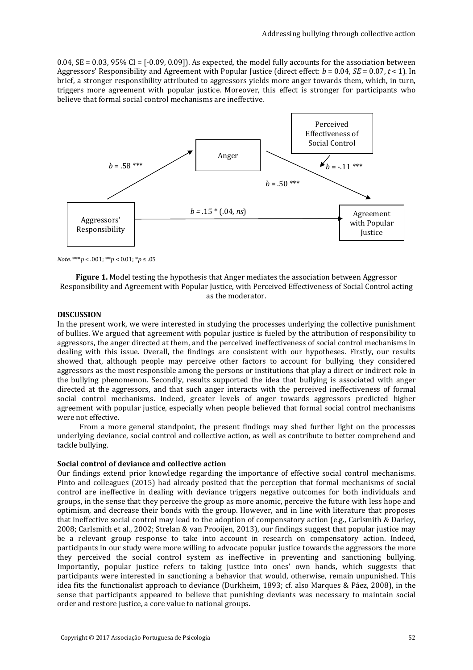0.04,  $SE = 0.03$ ,  $95\%$  CI = [-0.09, 0.09]). As expected, the model fully accounts for the association between Aggressors' Responsibility and Agreement with Popular Justice (direct effect:  $b = 0.04$ ,  $SE = 0.07$ ,  $t < 1$ ). In brief, a stronger responsibility attributed to aggressors yields more anger towards them, which, in turn, triggers more agreement with popular justice. Moreover, this effect is stronger for participants who believe that formal social control mechanisms are ineffective.



*Note*. \*\*\**p* < .001; \*\**p* < 0.01; \**p* ≤ .05

**Figure 1.** Model testing the hypothesis that Anger mediates the association between Aggressor Responsibility and Agreement with Popular Justice, with Perceived Effectiveness of Social Control acting as the moderator.

#### **DISCUSSION**

In the present work, we were interested in studying the processes underlying the collective punishment of bullies. We argued that agreement with popular justice is fueled by the attribution of responsibility to aggressors, the anger directed at them, and the perceived ineffectiveness of social control mechanisms in dealing with this issue. Overall, the findings are consistent with our hypotheses. Firstly, our results showed that, although people may perceive other factors to account for bullying, they considered aggressors as the most responsible among the persons or institutions that play a direct or indirect role in the bullying phenomenon. Secondly, results supported the idea that bullying is associated with anger directed at the aggressors, and that such anger interacts with the perceived ineffectiveness of formal social control mechanisms. Indeed, greater levels of anger towards aggressors predicted higher agreement with popular justice, especially when people believed that formal social control mechanisms were not effective.

From a more general standpoint, the present findings may shed further light on the processes underlying deviance, social control and collective action, as well as contribute to better comprehend and tackle bullying.

#### **Social control of deviance and collective action**

Our findings extend prior knowledge regarding the importance of effective social control mechanisms. Pinto and colleagues (2015) had already posited that the perception that formal mechanisms of social control are ineffective in dealing with deviance triggers negative outcomes for both individuals and groups, in the sense that they perceive the group as more anomic, perceive the future with less hope and optimism, and decrease their bonds with the group. However, and in line with literature that proposes that ineffective social control may lead to the adoption of compensatory action (e.g., Carlsmith & Darley, 2008; Carlsmith et al., 2002; Strelan & van Prooijen, 2013), our findings suggest that popular justice may be a relevant group response to take into account in research on compensatory action. Indeed, participants in our study were more willing to advocate popular justice towards the aggressors the more they perceived the social control system as ineffective in preventing and sanctioning bullying. Importantly, popular justice refers to taking justice into ones' own hands, which suggests that participants were interested in sanctioning a behavior that would, otherwise, remain unpunished. This idea fits the functionalist approach to deviance (Durkheim, 1893; cf. also Marques & Páez, 2008), in the sense that participants appeared to believe that punishing deviants was necessary to maintain social order and restore justice, a core value to national groups.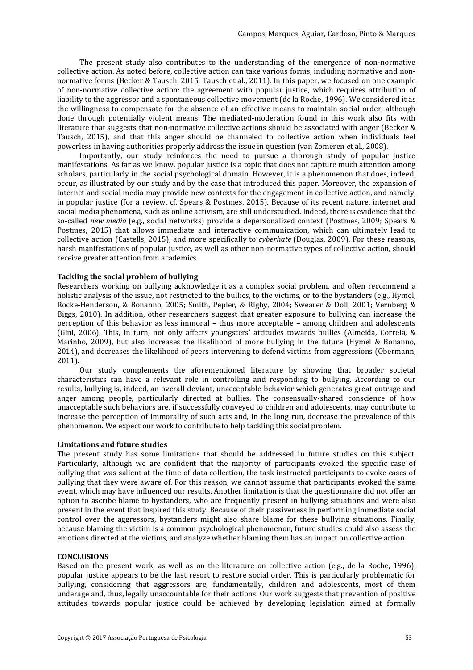The present study also contributes to the understanding of the emergence of non-normative collective action. As noted before, collective action can take various forms, including normative and nonnormative forms (Becker & Tausch, 2015; Tausch et al., 2011). In this paper, we focused on one example of non-normative collective action: the agreement with popular justice, which requires attribution of liability to the aggressor and a spontaneous collective movement (de la Roche, 1996). We considered it as the willingness to compensate for the absence of an effective means to maintain social order, although done through potentially violent means. The mediated-moderation found in this work also fits with literature that suggests that non-normative collective actions should be associated with anger (Becker & Tausch, 2015), and that this anger should be channeled to collective action when individuals feel powerless in having authorities properly address the issue in question (van Zomeren et al., 2008).

Importantly, our study reinforces the need to pursue a thorough study of popular justice manifestations. As far as we know, popular justice is a topic that does not capture much attention among scholars, particularly in the social psychological domain. However, it is a phenomenon that does, indeed, occur, as illustrated by our study and by the case that introduced this paper. Moreover, the expansion of internet and social media may provide new contexts for the engagement in collective action, and namely, in popular justice (for a review, cf. Spears & Postmes, 2015). Because of its recent nature, internet and social media phenomena, such as online activism, are still understudied. Indeed, there is evidence that the so-called *new media* (e.g., social networks) provide a depersonalized context (Postmes, 2009; Spears & Postmes, 2015) that allows immediate and interactive communication, which can ultimately lead to collective action (Castells, 2015), and more specifically to *cyberhate* (Douglas, 2009). For these reasons, harsh manifestations of popular justice, as well as other non-normative types of collective action, should receive greater attention from academics.

#### **Tackling the social problem of bullying**

Researchers working on bullying acknowledge it as a complex social problem, and often recommend a holistic analysis of the issue, not restricted to the bullies, to the victims, or to the bystanders (e.g., Hymel, Rocke-Henderson, & Bonanno, 2005; Smith, Pepler, & Rigby, 2004; Swearer & Doll, 2001; Vernberg & Biggs, 2010). In addition, other researchers suggest that greater exposure to bullying can increase the perception of this behavior as less immoral – thus more acceptable – among children and adolescents (Gini, 2006). This, in turn, not only affects youngsters' attitudes towards bullies (Almeida, Correia, & Marinho, 2009), but also increases the likelihood of more bullying in the future (Hymel & Bonanno, 2014), and decreases the likelihood of peers intervening to defend victims from aggressions (Obermann, 2011).

Our study complements the aforementioned literature by showing that broader societal characteristics can have a relevant role in controlling and responding to bullying. According to our results, bullying is, indeed, an overall deviant, unacceptable behavior which generates great outrage and anger among people, particularly directed at bullies. The consensually-shared conscience of how unacceptable such behaviors are, if successfully conveyed to children and adolescents, may contribute to increase the perception of immorality of such acts and, in the long run, decrease the prevalence of this phenomenon. We expect our work to contribute to help tackling this social problem.

#### **Limitations and future studies**

The present study has some limitations that should be addressed in future studies on this subject. Particularly, although we are confident that the majority of participants evoked the specific case of bullying that was salient at the time of data collection, the task instructed participants to evoke cases of bullying that they were aware of. For this reason, we cannot assume that participants evoked the same event, which may have influenced our results. Another limitation is that the questionnaire did not offer an option to ascribe blame to bystanders, who are frequently present in bullying situations and were also present in the event that inspired this study. Because of their passiveness in performing immediate social control over the aggressors, bystanders might also share blame for these bullying situations. Finally, because blaming the victim is a common psychological phenomenon, future studies could also assess the emotions directed at the victims, and analyze whether blaming them has an impact on collective action.

#### **CONCLUSIONS**

Based on the present work, as well as on the literature on collective action (e.g., de la Roche, 1996), popular justice appears to be the last resort to restore social order. This is particularly problematic for bullying, considering that aggressors are, fundamentally, children and adolescents, most of them underage and, thus, legally unaccountable for their actions. Our work suggests that prevention of positive attitudes towards popular justice could be achieved by developing legislation aimed at formally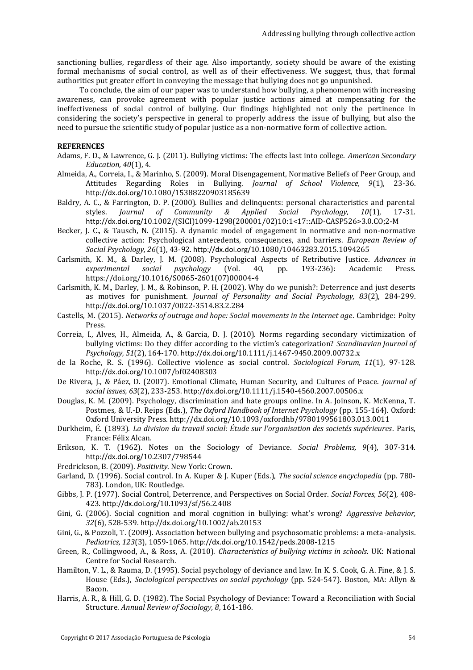sanctioning bullies, regardless of their age. Also importantly, society should be aware of the existing formal mechanisms of social control, as well as of their effectiveness. We suggest, thus, that formal authorities put greater effort in conveying the message that bullying does not go unpunished.

To conclude, the aim of our paper was to understand how bullying, a phenomenon with increasing awareness, can provoke agreement with popular justice actions aimed at compensating for the ineffectiveness of social control of bullying. Our findings highlighted not only the pertinence in considering the society's perspective in general to properly address the issue of bullying, but also the need to pursue the scientific study of popular justice as a non-normative form of collective action.

#### **REFERENCES**

- Adams, F. D., & Lawrence, G. J. (2011). Bullying victims: The effects last into college. *American Secondary Education, 40*(1), 4.
- Almeida, A., Correia, I., & Marinho, S. (2009). Moral Disengagement, Normative Beliefs of Peer Group, and Attitudes Regarding Roles in Bullying. *Journal of School Violence, 9*(1), 23-36. http://dx.doi.org/10.1080/15388220903185639
- Baldry, A. C., & Farrington, D. P. (2000). Bullies and delinquents: personal characteristics and parental styles. *Journal of Community & Applied Social Psychology, 10*(1), 17-31. http://dx.doi.org/10.1002/(SICI)1099-1298(200001/02)10:1<17::AID-CASP526>3.0.CO;2-M
- Becker, J. C., & Tausch, N. (2015). A dynamic model of engagement in normative and non-normative collective action: Psychological antecedents, consequences, and barriers. *European Review of Social Psychology, 26*(1), 43-92. http://dx.doi.org/10.1080/10463283.2015.1094265
- Carlsmith, K. M., & Darley, J. M. (2008). Psychological Aspects of Retributive Justice. *Advances in experimental social psychology* (Vol. 40, pp. 193-236): Academic Press. https://doi.org/10.1016/S0065-2601(07)00004-4
- Carlsmith, K. M., Darley, J. M., & Robinson, P. H. (2002). Why do we punish?: Deterrence and just deserts as motives for punishment. *Journal of Personality and Social Psychology, 83*(2), 284-299. http://dx.doi.org/10.1037/0022-3514.83.2.284
- Castells, M. (2015). *Networks of outrage and hope: Social movements in the Internet age*. Cambridge: Polty Press.
- Correia, I., Alves, H., Almeida, A., & Garcia, D. J. (2010). Norms regarding secondary victimization of bullying victims: Do they differ according to the victim's categorization? *Scandinavian Journal of Psychology, 51*(2), 164-170. http://dx.doi.org/10.1111/j.1467-9450.2009.00732.x
- de la Roche, R. S. (1996). Collective violence as social control. *Sociological Forum, 11*(1), 97-128. http://dx.doi.org/10.1007/bf02408303
- De Rivera, J., & Páez, D. (2007). Emotional Climate, Human Security, and Cultures of Peace. *Journal of social issues, 63*(2), 233-253. http://dx.doi.org/10.1111/j.1540-4560.2007.00506.x
- Douglas, K. M. (2009). Psychology, discrimination and hate groups online. In A. Joinson, K. McKenna, T. Postmes, & U.-D. Reips (Eds.), *The Oxford Handbook of Internet Psychology* (pp. 155-164). Oxford: Oxford University Press. http://dx.doi.org/10.1093/oxfordhb/9780199561803.013.0011
- Durkheim, É. (1893). *La division du travail social: Étude sur l'organisation des societés supérieures*. Paris, France: Félix Alcan.
- Erikson, K. T. (1962). Notes on the Sociology of Deviance. *Social Problems, 9*(4), 307-314. http://dx.doi.org/10.2307/798544
- Fredrickson, B. (2009). *Positivity*. New York: Crown.
- Garland, D. (1996). Social control. In A. Kuper & J. Kuper (Eds.), *The social science encyclopedia* (pp. 780- 783). London, UK: Routledge.
- Gibbs, J. P. (1977). Social Control, Deterrence, and Perspectives on Social Order. *Social Forces, 56*(2), 408- 423. http://dx.doi.org/10.1093/sf/56.2.408
- Gini, G. (2006). Social cognition and moral cognition in bullying: what's wrong? *Aggressive behavior, 32*(6), 528-539. http://dx.doi.org/10.1002/ab.20153
- Gini, G., & Pozzoli, T. (2009). Association between bullying and psychosomatic problems: a meta-analysis. *Pediatrics, 123*(3), 1059-1065. http://dx.doi.org/10.1542/peds.2008-1215
- Green, R., Collingwood, A., & Ross, A. (2010). *Characteristics of bullying victims in schools*. UK: National Centre for Social Research.
- Hamilton, V. L., & Rauma, D. (1995). Social psychology of deviance and law. In K. S. Cook, G. A. Fine, & J. S. House (Eds.), *Sociological perspectives on social psychology* (pp. 524-547). Boston, MA: Allyn & Bacon.
- Harris, A. R., & Hill, G. D. (1982). The Social Psychology of Deviance: Toward a Reconciliation with Social Structure. *Annual Review of Sociology, 8*, 161-186.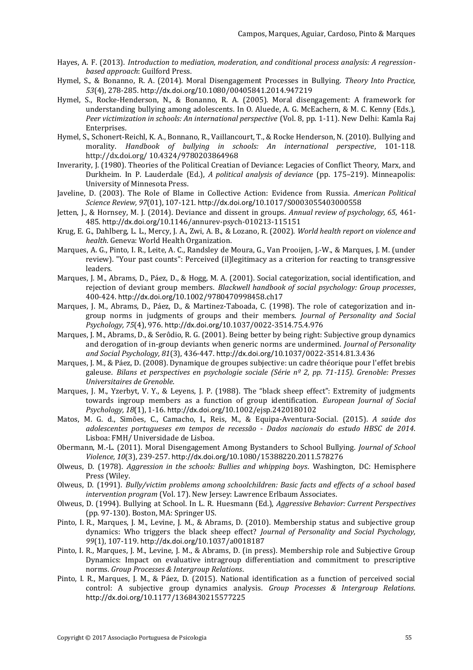- Hayes, A. F. (2013). *Introduction to mediation, moderation, and conditional process analysis: A regressionbased approach*: Guilford Press.
- Hymel, S., & Bonanno, R. A. (2014). Moral Disengagement Processes in Bullying. *Theory Into Practice, 53*(4), 278-285. http://dx.doi.org/10.1080/00405841.2014.947219
- Hymel, S., Rocke-Henderson, N., & Bonanno, R. A. (2005). Moral disengagement: A framework for understanding bullying among adolescents. In O. Aluede, A. G. McEachern, & M. C. Kenny (Eds.), *Peer victimization in schools: An international perspective* (Vol. 8, pp. 1-11). New Delhi: Kamla Raj Enterprises.
- Hymel, S., Schonert-Reichl, K. A., Bonnano, R., Vaillancourt, T., & Rocke Henderson, N. (2010). Bullying and morality. *Handbook of bullying in schools: An international perspective*, 101-118. http://dx.doi.org/ 10.4324/9780203864968
- Inverarity, J. (1980). Theories of the Political Creatian of Deviance: Legacies of Conflict Theory, Marx, and Durkheim. In P. Lauderdale (Ed.), *A political analysis of deviance* (pp. 175–219). Minneapolis: University of Minnesota Press.
- Javeline, D. (2003). The Role of Blame in Collective Action: Evidence from Russia. *American Political Science Review, 97*(01), 107-121. http://dx.doi.org/10.1017/S0003055403000558
- Jetten, J., & Hornsey, M. J. (2014). Deviance and dissent in groups. *Annual review of psychology, 65*, 461- 485. http://dx.doi.org/10.1146/annurev-psych-010213-115151
- Krug, E. G., Dahlberg, L. L., Mercy, J. A., Zwi, A. B., & Lozano, R. (2002). *World health report on violence and health*. Geneva: World Health Organization.
- Marques, A. G., Pinto, I. R., Leite, A. C., Randsley de Moura, G., Van Prooijen, J.-W., & Marques, J. M. (under review). "Your past counts": Perceived (il)legitimacy as a criterion for reacting to transgressive leaders.
- Marques, J. M., Abrams, D., Páez, D., & Hogg, M. A. (2001). Social categorization, social identification, and rejection of deviant group members. *Blackwell handbook of social psychology: Group processes*, 400-424. http://dx.doi.org/10.1002/9780470998458.ch17
- Marques, J. M., Abrams, D., Páez, D., & Martinez-Taboada, C. (1998). The role of categorization and ingroup norms in judgments of groups and their members. *Journal of Personality and Social Psychology, 75*(4), 976. http://dx.doi.org/10.1037/0022-3514.75.4.976
- Marques, J. M., Abrams, D., & Serôdio, R. G. (2001). Being better by being right: Subjective group dynamics and derogation of in-group deviants when generic norms are undermined. *Journal of Personality and Social Psychology, 81*(3), 436-447. http://dx.doi.org/10.1037/0022-3514.81.3.436
- Marques, J. M., & Páez, D. (2008). Dynamique de groupes subjective: un cadre théorique pour l'effet brebis galeuse. *Bilans et perspectives en psychologie sociale (Série nº 2, pp. 71-115). Grenoble: Presses Universitaires de Grenoble*.
- Marques, J. M., Yzerbyt, V. Y., & Leyens, J. P. (1988). The "black sheep effect": Extremity of judgments towards ingroup members as a function of group identification. *European Journal of Social Psychology, 18*(1), 1-16. http://dx.doi.org/10.1002/ejsp.2420180102
- Matos, M. G. d., Simões, C., Camacho, I., Reis, M., & Equipa-Aventura-Social. (2015). *A saúde dos adolescentes portugueses em tempos de recessão - Dados nacionais do estudo HBSC de 2014*. Lisboa: FMH/ Universidade de Lisboa.
- Obermann, M.-L. (2011). Moral Disengagement Among Bystanders to School Bullying. *Journal of School Violence, 10*(3), 239-257. http://dx.doi.org/10.1080/15388220.2011.578276
- Olweus, D. (1978). *Aggression in the schools: Bullies and whipping boys*. Washington, DC: Hemisphere Press (Wiley.
- Olweus, D. (1991). *Bully/victim problems among schoolchildren: Basic facts and effects of a school based intervention program* (Vol. 17). New Jersey: Lawrence Erlbaum Associates.
- Olweus, D. (1994). Bullying at School. In L. R. Huesmann (Ed.), *Aggressive Behavior: Current Perspectives* (pp. 97-130). Boston, MA: Springer US.
- Pinto, I. R., Marques, J. M., Levine, J. M., & Abrams, D. (2010). Membership status and subjective group dynamics: Who triggers the black sheep effect? *Journal of Personality and Social Psychology, 99*(1), 107-119. http://dx.doi.org/10.1037/a0018187
- Pinto, I. R., Marques, J. M., Levine, J. M., & Abrams, D. (in press). Membership role and Subjective Group Dynamics: Impact on evaluative intragroup differentiation and commitment to prescriptive norms. *Group Processes & Intergroup Relations*.
- Pinto, I. R., Marques, J. M., & Páez, D. (2015). National identification as a function of perceived social control: A subjective group dynamics analysis. *Group Processes & Intergroup Relations*. http://dx.doi.org/10.1177/1368430215577225